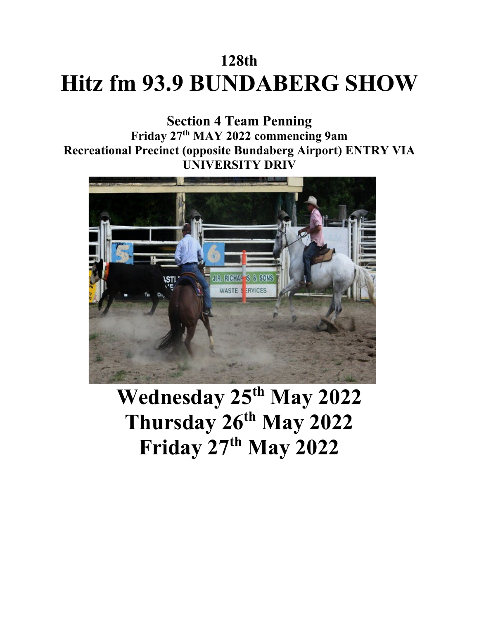# **128th Hitz fm 93.9 BUNDABERG SHOW**

**Section 4 Team Penning Friday 27th MAY 2022 commencing 9am Recreational Precinct (opposite Bundaberg Airport) ENTRY VIA UNIVERSITY DRIV**



**Wednesday 25th May 2022 Thursday 26th May 2022 Friday 27th May 2022**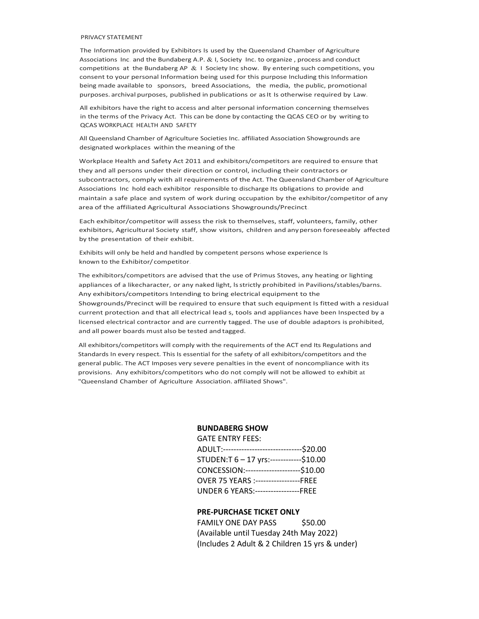#### PRIVACY STATEMENT

The Information provided by Exhibitors Is used by the Queensland Chamber of Agriculture Associations Inc. and the Bundaberg A.P. & I, Society Inc. to organize, process and conduct competitions at the Bundaberg AP  $& 1$  Society Inc show. By entering such competitions, you consent to your personal Information being used for this purpose Including this Information being made available to sponsors, breed Associations, the media, the public, promotional purposes. archival purposes, published in publications or asIt Is otherwise required by Law.

All exhibitors have the right to access and alter personal information concerning themselves in the terms of the Privacy Act. This can be done by contacting the QCAS CEO or by writing to QCAS WORKPLACE HEALTH AND SAFETY

All Queensland Chamber of Agriculture Societies Inc. affiliated Association Showgrounds are designated workplaces within the meaning of the

Workplace Health and Safety Act 2011 and exhibitors/competitors are required to ensure that they and all persons under their direction or control, including their contractors or subcontractors, comply with all requirements of the Act. The Queensland Chamber of Agriculture Associations Inc hold each exhibitor responsible to discharge Its obligations to provide and maintain a safe place and system of work during occupation by the exhibitor/competitor of any area of the affiliated Agricultural Associations Showgrounds/Precinct.

Each exhibitor/competitor will assess the risk to themselves, staff, volunteers, family, other exhibitors, Agricultural Society staff, show visitors, children and anyperson foreseeably affected by the presentation of their exhibit.

Exhibits will only be held and handled by competent persons whose experience Is known to the Exhibitor/ competitor.

The exhibitors/competitors are advised that the use of Primus Stoves, any heating or lighting appliances of a likecharacter, or any naked light, lsstrictly prohibited in Pavilions/stables/barns. Any exhibitors/competitors Intending to bring electrical equipment to the Showgrounds/Precinct will be required to ensure that such equipment Is fitted with a residual current protection and that all electrical lead s, tools and appliances have been Inspected by a licensed electrical contractor and are currently tagged. The use of double adaptors is prohibited, and all power boards must also be tested and tagged.

All exhibitors/competitors will comply with the requirements of the ACT end Its Regulations and Standards In every respect. This Is essential for the safety of all exhibitors/competitors and the general public. The ACT Imposes very severe penalties in the event of noncompliance with its provisions. Any exhibitors/competitors who do not comply will not be allowed to exhibit at "Queensland Chamber of Agriculture Association. affiliated Shows".

#### **BUNDABERG SHOW**

GATE ENTRY FEES:

| ADULT:-------------------------------\$20.00 |  |
|----------------------------------------------|--|
| STUDEN:T 6-17 yrs:------------\$10.00        |  |
| CONCESSION:----------------------\$10.00     |  |
| OVER 75 YEARS :-----------------FREE         |  |
| UNDER 6 YEARS:-----------------FREE          |  |

#### **PRE-PURCHASE TICKET ONLY**

FAMILY ONE DAY PASS \$50.00 (Available until Tuesday 24th May 2022) (Includes 2 Adult & 2 Children 15 yrs & under)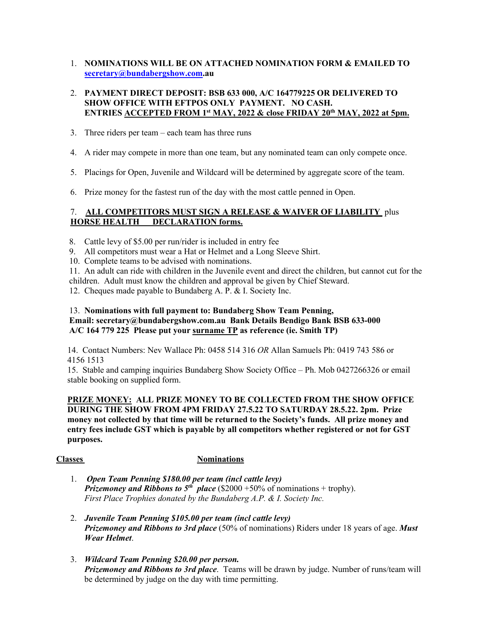1. **NOMINATIONS WILL BE ON ATTACHED NOMINATION FORM & EMAILED TO [secretary@bundabergshow.com.](mailto:secretary@bundabergshow.com)au**

#### 2. **PAYMENT DIRECT DEPOSIT: BSB 633 000, A/C 164779225 OR DELIVERED TO SHOW OFFICE WITH EFTPOS ONLY PAYMENT. NO CASH. ENTRIES ACCEPTED FROM 1st MAY, 2022 & close FRIDAY 20th MAY, 2022 at 5pm.**

- 3. Three riders per team each team has three runs
- 4. A rider may compete in more than one team, but any nominated team can only compete once.
- 5. Placings for Open, Juvenile and Wildcard will be determined by aggregate score of the team.
- 6. Prize money for the fastest run of the day with the most cattle penned in Open.

#### 7. **ALL COMPETITORS MUST SIGN A RELEASE & WAIVER OF LIABILITY** plus **HORSE HEALTH DECLARATION forms.**

- 8. Cattle levy of \$5.00 per run/rider is included in entry fee
- 9. All competitors must wear a Hat or Helmet and a Long Sleeve Shirt.
- 10. Complete teams to be advised with nominations.

 11. An adult can ride with children in the Juvenile event and direct the children, but cannot cut for the children. Adult must know the children and approval be given by Chief Steward.

12. Cheques made payable to Bundaberg A. P. & I. Society Inc.

#### 13. **Nominations with full payment to: Bundaberg Show Team Penning, Email: secretary@bundabergshow.com.au Bank Details Bendigo Bank BSB 633-000 A/C 164 779 225 Please put your surname TP as reference (ie. Smith TP)**

14. Contact Numbers: Nev Wallace Ph: 0458 514 316 *OR* Allan Samuels Ph: 0419 743 586 or 4156 1513

15. Stable and camping inquiries Bundaberg Show Society Office – Ph. Mob 0427266326 or email stable booking on supplied form.

#### **PRIZE MONEY: ALL PRIZE MONEY TO BE COLLECTED FROM THE SHOW OFFICE DURING THE SHOW FROM 4PM FRIDAY 27.5.22 TO SATURDAY 28.5.22. 2pm. Prize money not collected by that time will be returned to the Society's funds. All prize money and entry fees include GST which is payable by all competitors whether registered or not for GST purposes.**

#### **Classes Nominations**

- 1. *Open Team Penning \$180.00 per team (incl cattle levy) Prizemoney and Ribbons to*  $5^{th}$  *place* (\$2000 +50% of nominations + trophy). *First Place Trophies donated by the Bundaberg A.P. & I. Society Inc.*
- 2. *Juvenile Team Penning \$105.00 per team (incl cattle levy) Prizemoney and Ribbons to 3rd place* (50% of nominations) Riders under 18 years of age. *Must Wear Helmet*.
- 3. *Wildcard Team Penning \$20.00 per person. Prizemoney and Ribbons to 3rd place*. Teams will be drawn by judge. Number of runs/team will be determined by judge on the day with time permitting.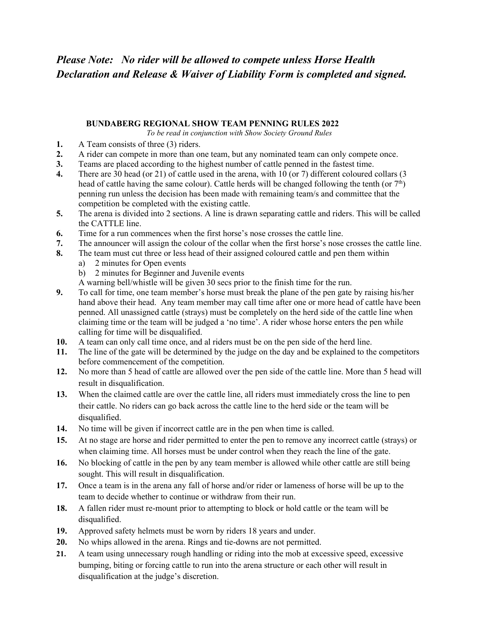# *Please Note: No rider will be allowed to compete unless Horse Health Declaration and Release & Waiver of Liability Form is completed and signed.*

#### **BUNDABERG REGIONAL SHOW TEAM PENNING RULES 2022**

*To be read in conjunction with Show Society Ground Rules*

- **1.** A Team consists of three (3) riders.
- **2.** A rider can compete in more than one team, but any nominated team can only compete once.
- **3.** Teams are placed according to the highest number of cattle penned in the fastest time.
- **4.** There are 30 head (or 21) of cattle used in the arena, with 10 (or 7) different coloured collars (3 head of cattle having the same colour). Cattle herds will be changed following the tenth (or  $7<sup>th</sup>$ ) penning run unless the decision has been made with remaining team/s and committee that the competition be completed with the existing cattle.
- **5.** The arena is divided into 2 sections. A line is drawn separating cattle and riders. This will be called the CATTLE line.
- **6.** Time for a run commences when the first horse's nose crosses the cattle line.
- **7.** The announcer will assign the colour of the collar when the first horse's nose crosses the cattle line.
- **8.** The team must cut three or less head of their assigned coloured cattle and pen them within
	- a) 2 minutes for Open events
	- b) 2 minutes for Beginner and Juvenile events
	- A warning bell/whistle will be given 30 secs prior to the finish time for the run.
- **9.** To call for time, one team member's horse must break the plane of the pen gate by raising his/her hand above their head. Any team member may call time after one or more head of cattle have been penned. All unassigned cattle (strays) must be completely on the herd side of the cattle line when claiming time or the team will be judged a 'no time'. A rider whose horse enters the pen while calling for time will be disqualified.
- **10.** A team can only call time once, and al riders must be on the pen side of the herd line.
- **11.** The line of the gate will be determined by the judge on the day and be explained to the competitors before commencement of the competition.
- **12.** No more than 5 head of cattle are allowed over the pen side of the cattle line. More than 5 head will result in disqualification.
- **13.** When the claimed cattle are over the cattle line, all riders must immediately cross the line to pen their cattle. No riders can go back across the cattle line to the herd side or the team will be disqualified.
- **14.** No time will be given if incorrect cattle are in the pen when time is called.
- **15.** At no stage are horse and rider permitted to enter the pen to remove any incorrect cattle (strays) or when claiming time. All horses must be under control when they reach the line of the gate.
- **16.** No blocking of cattle in the pen by any team member is allowed while other cattle are still being sought. This will result in disqualification.
- **17.** Once a team is in the arena any fall of horse and/or rider or lameness of horse will be up to the team to decide whether to continue or withdraw from their run.
- **18.** A fallen rider must re-mount prior to attempting to block or hold cattle or the team will be disqualified.
- **19.** Approved safety helmets must be worn by riders 18 years and under.
- **20.** No whips allowed in the arena. Rings and tie-downs are not permitted.
- **21.** A team using unnecessary rough handling or riding into the mob at excessive speed, excessive bumping, biting or forcing cattle to run into the arena structure or each other will result in disqualification at the judge's discretion.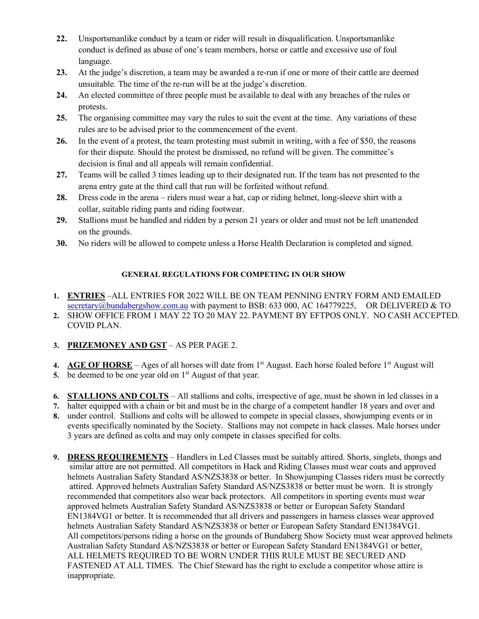- **22.** Unsportsmanlike conduct by a team or rider will result in disqualification. Unsportsmanlike conduct is defined as abuse of one's team members, horse or cattle and excessive use of foul language.
- **23.** At the judge's discretion, a team may be awarded a re-run if one or more of their cattle are deemed unsuitable. The time of the re-run will be at the judge's discretion.
- **24.** An elected committee of three people must be available to deal with any breaches of the rules or protests.
- **25.** The organising committee may vary the rules to suit the event at the time. Any variations of these rules are to be advised prior to the commencement of the event.
- **26.** In the event of a protest, the team protesting must submit in writing, with a fee of \$50, the reasons for their dispute. Should the protest be dismissed, no refund will be given. The committee's decision is final and all appeals will remain confidential.
- **27.** Teams will be called 3 times leading up to their designated run. If the team has not presented to the arena entry gate at the third call that run will be forfeited without refund.
- **28.** Dress code in the arena riders must wear a hat, cap or riding helmet, long-sleeve shirt with a collar, suitable riding pants and riding footwear.
- **29.** Stallions must be handled and ridden by a person 21 years or older and must not be left unattended on the grounds.
- **30.** No riders will be allowed to compete unless a Horse Health Declaration is completed and signed.

#### **GENERAL REGULATIONS FOR COMPETING IN OUR SHOW**

- **1. ENTRIES** –ALL ENTRIES FOR 2022 WILL BE ON TEAM PENNING ENTRY FORM AND EMAILED [secretary@bundabergshow.com.au](mailto:secretary@bundabergshow.com.au) with payment to BSB: 633 000, AC 164779225, OR DELIVERED & TO
- **2.** SHOW OFFICE FROM 1 MAY 22 TO 20 MAY 22. PAYMENT BY EFTPOS ONLY. NO CASH ACCEPTED. COVID PLAN.
- **3. PRIZEMONEY AND GST** AS PER PAGE 2.
- **4. AGE OF HORSE** Ages of all horses will date from  $1<sup>st</sup>$  August. Each horse foaled before  $1<sup>st</sup>$  August will
- **5.** be deemed to be one year old on 1<sup>st</sup> August of that year.
- **6. STALLIONS AND COLTS** All stallions and colts, irrespective of age, must be shown in led classes in a
- **7.** halter equipped with a chain or bit and must be in the charge of a competent handler 18 years and over and
- **8.** under control. Stallions and colts will be allowed to compete in special classes, showjumping events or in events specifically nominated by the Society. Stallions may not compete in hack classes. Male horses under 3 years are defined as colts and may only compete in classes specified for colts.
- **9. DRESS REQUIREMENTS** Handlers in Led Classes must be suitably attired. Shorts, singlets, thongs and similar attire are not permitted. All competitors in Hack and Riding Classes must wear coats and approved helmets Australian Safety Standard AS/NZS3838 or better. In Showjumping Classes riders must be correctly attired. Approved helmets Australian Safety Standard AS/NZS3838 or better must be worn. It is strongly recommended that competitors also wear back protectors. All competitors in sporting events must wear approved helmets Australian Safety Standard AS/NZS3838 or better or European Safety Standard EN1384VG1 or better. It is recommended that all drivers and passengers in harness classes wear approved helmets Australian Safety Standard AS/NZS3838 or better or European Safety Standard EN1384VG1. All competitors/persons riding a horse on the grounds of Bundaberg Show Society must wear approved helmets Australian Safety Standard AS/NZS3838 or better or European Safety Standard EN1384VG1 or better. ALL HELMETS REQUIRED TO BE WORN UNDER THIS RULE MUST BE SECURED AND FASTENED AT ALL TIMES. The Chief Steward has the right to exclude a competitor whose attire is inappropriate.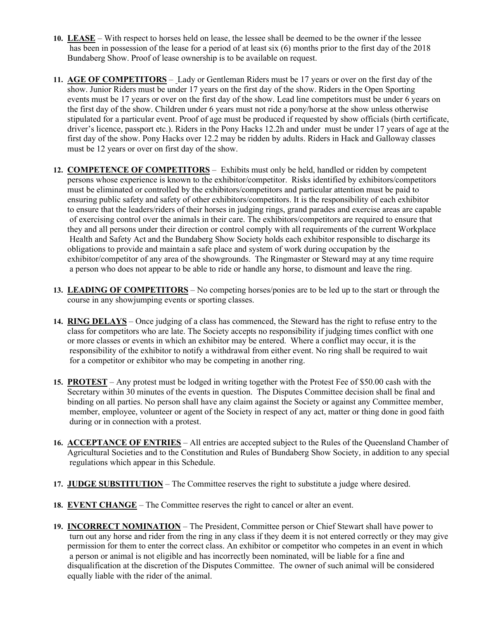- **10. LEASE** With respect to horses held on lease, the lessee shall be deemed to be the owner if the lessee has been in possession of the lease for a period of at least six (6) months prior to the first day of the 2018 Bundaberg Show. Proof of lease ownership is to be available on request.
- **11. AGE OF COMPETITORS** Lady or Gentleman Riders must be 17 years or over on the first day of the show. Junior Riders must be under 17 years on the first day of the show. Riders in the Open Sporting events must be 17 years or over on the first day of the show. Lead line competitors must be under 6 years on the first day of the show. Children under 6 years must not ride a pony/horse at the show unless otherwise stipulated for a particular event. Proof of age must be produced if requested by show officials (birth certificate, driver's licence, passport etc.). Riders in the Pony Hacks 12.2h and under must be under 17 years of age at the first day of the show. Pony Hacks over 12.2 may be ridden by adults. Riders in Hack and Galloway classes must be 12 years or over on first day of the show.
- **12. COMPETENCE OF COMPETITORS** Exhibits must only be held, handled or ridden by competent persons whose experience is known to the exhibitor/competitor. Risks identified by exhibitors/competitors must be eliminated or controlled by the exhibitors/competitors and particular attention must be paid to ensuring public safety and safety of other exhibitors/competitors. It is the responsibility of each exhibitor to ensure that the leaders/riders of their horses in judging rings, grand parades and exercise areas are capable of exercising control over the animals in their care. The exhibitors/competitors are required to ensure that they and all persons under their direction or control comply with all requirements of the current Workplace Health and Safety Act and the Bundaberg Show Society holds each exhibitor responsible to discharge its obligations to provide and maintain a safe place and system of work during occupation by the exhibitor/competitor of any area of the showgrounds. The Ringmaster or Steward may at any time require a person who does not appear to be able to ride or handle any horse, to dismount and leave the ring.
- **13. LEADING OF COMPETITORS** No competing horses/ponies are to be led up to the start or through the course in any showjumping events or sporting classes.
- **14. RING DELAYS** Once judging of a class has commenced, the Steward has the right to refuse entry to the class for competitors who are late. The Society accepts no responsibility if judging times conflict with one or more classes or events in which an exhibitor may be entered. Where a conflict may occur, it is the responsibility of the exhibitor to notify a withdrawal from either event. No ring shall be required to wait for a competitor or exhibitor who may be competing in another ring.
- **15. PROTEST** Any protest must be lodged in writing together with the Protest Fee of \$50.00 cash with the Secretary within 30 minutes of the events in question. The Disputes Committee decision shall be final and binding on all parties. No person shall have any claim against the Society or against any Committee member, member, employee, volunteer or agent of the Society in respect of any act, matter or thing done in good faith during or in connection with a protest.
- **16. ACCEPTANCE OF ENTRIES** All entries are accepted subject to the Rules of the Queensland Chamber of Agricultural Societies and to the Constitution and Rules of Bundaberg Show Society, in addition to any special regulations which appear in this Schedule.
- **17. JUDGE SUBSTITUTION** The Committee reserves the right to substitute a judge where desired.
- **18. EVENT CHANGE** The Committee reserves the right to cancel or alter an event.
- **19. INCORRECT NOMINATION** The President, Committee person or Chief Stewart shall have power to turn out any horse and rider from the ring in any class if they deem it is not entered correctly or they may give permission for them to enter the correct class. An exhibitor or competitor who competes in an event in which a person or animal is not eligible and has incorrectly been nominated, will be liable for a fine and disqualification at the discretion of the Disputes Committee. The owner of such animal will be considered equally liable with the rider of the animal.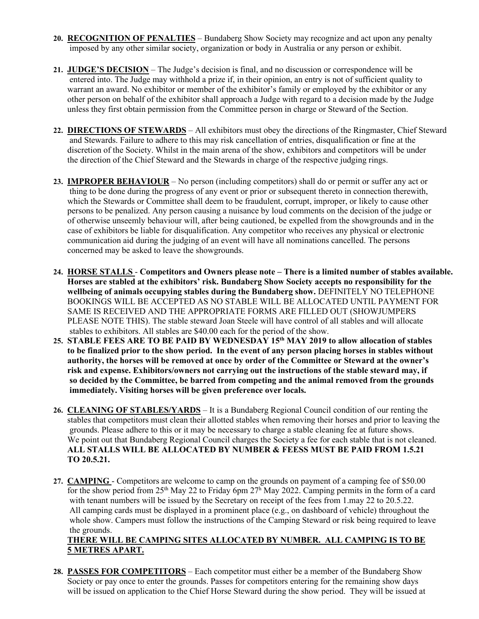- **20. RECOGNITION OF PENALTIES** Bundaberg Show Society may recognize and act upon any penalty imposed by any other similar society, organization or body in Australia or any person or exhibit.
- **21. JUDGE'S DECISION** The Judge's decision is final, and no discussion or correspondence will be entered into. The Judge may withhold a prize if, in their opinion, an entry is not of sufficient quality to warrant an award. No exhibitor or member of the exhibitor's family or employed by the exhibitor or any other person on behalf of the exhibitor shall approach a Judge with regard to a decision made by the Judge unless they first obtain permission from the Committee person in charge or Steward of the Section.
- **22. DIRECTIONS OF STEWARDS** All exhibitors must obey the directions of the Ringmaster, Chief Steward and Stewards. Failure to adhere to this may risk cancellation of entries, disqualification or fine at the discretion of the Society. Whilst in the main arena of the show, exhibitors and competitors will be under the direction of the Chief Steward and the Stewards in charge of the respective judging rings.
- **23. IMPROPER BEHAVIOUR** No person (including competitors) shall do or permit or suffer any act or thing to be done during the progress of any event or prior or subsequent thereto in connection therewith, which the Stewards or Committee shall deem to be fraudulent, corrupt, improper, or likely to cause other persons to be penalized. Any person causing a nuisance by loud comments on the decision of the judge or of otherwise unseemly behaviour will, after being cautioned, be expelled from the showgrounds and in the case of exhibitors be liable for disqualification. Any competitor who receives any physical or electronic communication aid during the judging of an event will have all nominations cancelled. The persons concerned may be asked to leave the showgrounds.
- **24. HORSE STALLS Competitors and Owners please note – There is a limited number of stables available. Horses are stabled at the exhibitors' risk. Bundaberg Show Society accepts no responsibility for the wellbeing of animals occupying stables during the Bundaberg show.** DEFINITELY NO TELEPHONE BOOKINGS WILL BE ACCEPTED AS NO STABLE WILL BE ALLOCATED UNTIL PAYMENT FOR SAME IS RECEIVED AND THE APPROPRIATE FORMS ARE FILLED OUT (SHOWJUMPERS PLEASE NOTE THIS). The stable steward Joan Steele will have control of all stables and will allocate stables to exhibitors. All stables are \$40.00 each for the period of the show.
- **25. STABLE FEES ARE TO BE PAID BY WEDNESDAY 15th MAY 2019 to allow allocation of stables to be finalized prior to the show period. In the event of any person placing horses in stables without authority, the horses will be removed at once by order of the Committee or Steward at the owner's risk and expense. Exhibitors/owners not carrying out the instructions of the stable steward may, if so decided by the Committee, be barred from competing and the animal removed from the grounds immediately. Visiting horses will be given preference over locals.**
- **26. CLEANING OF STABLES/YARDS** It is a Bundaberg Regional Council condition of our renting the stables that competitors must clean their allotted stables when removing their horses and prior to leaving the grounds. Please adhere to this or it may be necessary to charge a stable cleaning fee at future shows. We point out that Bundaberg Regional Council charges the Society a fee for each stable that is not cleaned. **ALL STALLS WILL BE ALLOCATED BY NUMBER & FEESS MUST BE PAID FROM 1.5.21 TO 20.5.21.**
- **27. CAMPING**  Competitors are welcome to camp on the grounds on payment of a camping fee of \$50.00 for the show period from 25<sup>th</sup> May 22 to Friday 6pm  $27<sup>h</sup>$  May 2022. Camping permits in the form of a card with tenant numbers will be issued by the Secretary on receipt of the fees from 1.may 22 to 20.5.22. All camping cards must be displayed in a prominent place (e.g., on dashboard of vehicle) throughout the whole show. Campers must follow the instructions of the Camping Steward or risk being required to leave the grounds.

#### **THERE WILL BE CAMPING SITES ALLOCATED BY NUMBER. ALL CAMPING IS TO BE 5 METRES APART.**

**28. PASSES FOR COMPETITORS** – Each competitor must either be a member of the Bundaberg Show Society or pay once to enter the grounds. Passes for competitors entering for the remaining show days will be issued on application to the Chief Horse Steward during the show period. They will be issued at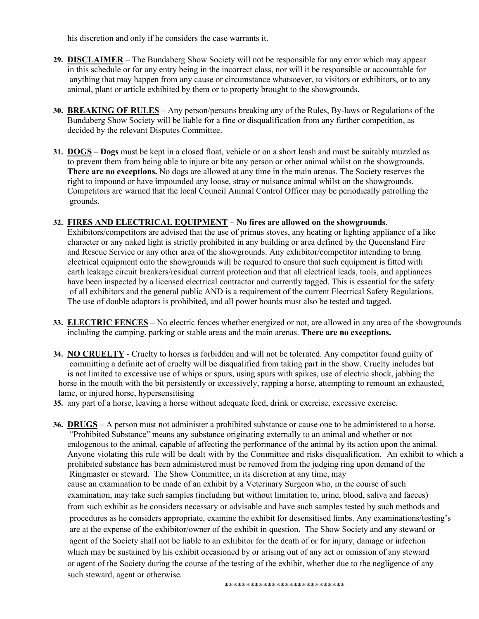his discretion and only if he considers the case warrants it.

- **29. DISCLAIMER** The Bundaberg Show Society will not be responsible for any error which may appear in this schedule or for any entry being in the incorrect class, nor will it be responsible or accountable for anything that may happen from any cause or circumstance whatsoever, to visitors or exhibitors, or to any animal, plant or article exhibited by them or to property brought to the showgrounds.
- **30. BREAKING OF RULES** Any person/persons breaking any of the Rules, By-laws or Regulations of the Bundaberg Show Society will be liable for a fine or disqualification from any further competition, as decided by the relevant Disputes Committee.
- **31. DOGS Dogs** must be kept in a closed float, vehicle or on a short leash and must be suitably muzzled as to prevent them from being able to injure or bite any person or other animal whilst on the showgrounds. **There are no exceptions.** No dogs are allowed at any time in the main arenas. The Society reserves the right to impound or have impounded any loose, stray or nuisance animal whilst on the showgrounds. Competitors are warned that the local Council Animal Control Officer may be periodically patrolling the grounds.

#### **32. FIRES AND ELECTRICAL EQUIPMENT – No fires are allowed on the showgrounds**.

Exhibitors/competitors are advised that the use of primus stoves, any heating or lighting appliance of a like character or any naked light is strictly prohibited in any building or area defined by the Queensland Fire and Rescue Service or any other area of the showgrounds. Any exhibitor/competitor intending to bring electrical equipment onto the showgrounds will be required to ensure that such equipment is fitted with earth leakage circuit breakers/residual current protection and that all electrical leads, tools, and appliances have been inspected by a licensed electrical contractor and currently tagged. This is essential for the safety of all exhibitors and the general public AND is a requirement of the current Electrical Safety Regulations. The use of double adaptors is prohibited, and all power boards must also be tested and tagged.

- **33. ELECTRIC FENCES** No electric fences whether energized or not, are allowed in any area of the showgrounds including the camping, parking or stable areas and the main arenas. **There are no exceptions.**
- **34. NO CRUELTY** Cruelty to horses is forbidden and will not be tolerated. Any competitor found guilty of committing a definite act of cruelty will be disqualified from taking part in the show. Cruelty includes but is not limited to excessive use of whips or spurs, using spurs with spikes, use of electric shock, jabbing the horse in the mouth with the bit persistently or excessively, rapping a horse, attempting to remount an exhausted, lame, or injured horse, hypersensitising
- **35.** any part of a horse, leaving a horse without adequate feed, drink or exercise, excessive exercise.
- **36. DRUGS** A person must not administer a prohibited substance or cause one to be administered to a horse. "Prohibited Substance" means any substance originating externally to an animal and whether or not endogenous to the animal, capable of affecting the performance of the animal by its action upon the animal. Anyone violating this rule will be dealt with by the Committee and risks disqualification. An exhibit to which a prohibited substance has been administered must be removed from the judging ring upon demand of the Ringmaster or steward. The Show Committee, in its discretion at any time, may cause an examination to be made of an exhibit by a Veterinary Surgeon who, in the course of such examination, may take such samples (including but without limitation to, urine, blood, saliva and faeces) from such exhibit as he considers necessary or advisable and have such samples tested by such methods and procedures as he considers appropriate, examine the exhibit for desensitised limbs. Any examinations/testing's are at the expense of the exhibitor/owner of the exhibit in question. The Show Society and any steward or agent of the Society shall not be liable to an exhibitor for the death of or for injury, damage or infection which may be sustained by his exhibit occasioned by or arising out of any act or omission of any steward or agent of the Society during the course of the testing of the exhibit, whether due to the negligence of any such steward, agent or otherwise.

\*\*\*\*\*\*\*\*\*\*\*\*\*\*\*\*\*\*\*\*\*\*\*\*\*\*\*\*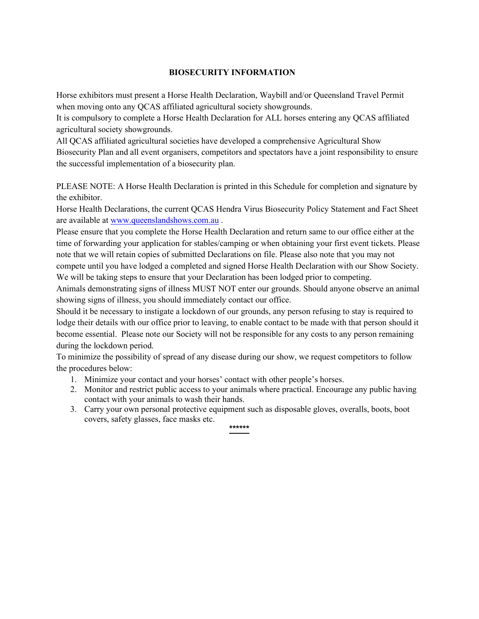#### **BIOSECURITY INFORMATION**

Horse exhibitors must present a Horse Health Declaration, Waybill and/or Queensland Travel Permit when moving onto any QCAS affiliated agricultural society showgrounds.

It is compulsory to complete a Horse Health Declaration for ALL horses entering any QCAS affiliated agricultural society showgrounds.

All QCAS affiliated agricultural societies have developed a comprehensive Agricultural Show Biosecurity Plan and all event organisers, competitors and spectators have a joint responsibility to ensure the successful implementation of a biosecurity plan.

PLEASE NOTE: A Horse Health Declaration is printed in this Schedule for completion and signature by the exhibitor.

Horse Health Declarations, the current QCAS Hendra Virus Biosecurity Policy Statement and Fact Sheet are available at [www.queenslandshows.com.au](http://www.queenslandshows.com.au/) .

Please ensure that you complete the Horse Health Declaration and return same to our office either at the time of forwarding your application for stables/camping or when obtaining your first event tickets. Please note that we will retain copies of submitted Declarations on file. Please also note that you may not compete until you have lodged a completed and signed Horse Health Declaration with our Show Society. We will be taking steps to ensure that your Declaration has been lodged prior to competing.

Animals demonstrating signs of illness MUST NOT enter our grounds. Should anyone observe an animal

showing signs of illness, you should immediately contact our office.

Should it be necessary to instigate a lockdown of our grounds, any person refusing to stay is required to lodge their details with our office prior to leaving, to enable contact to be made with that person should it become essential. Please note our Society will not be responsible for any costs to any person remaining during the lockdown period.

To minimize the possibility of spread of any disease during our show, we request competitors to follow the procedures below:

- 1. Minimize your contact and your horses' contact with other people's horses.
- 2. Monitor and restrict public access to your animals where practical. Encourage any public having contact with your animals to wash their hands.
- 3. Carry your own personal protective equipment such as disposable gloves, overalls, boots, boot covers, safety glasses, face masks etc. **\*\*\*\*\*\***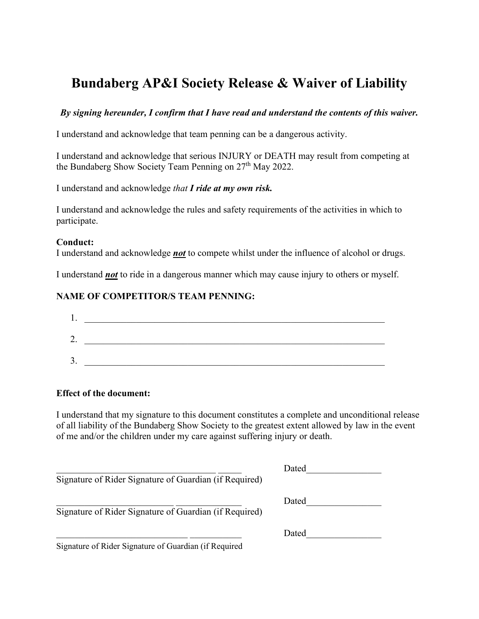# **Bundaberg AP&I Society Release & Waiver of Liability**

#### *By signing hereunder, I confirm that I have read and understand the contents of this waiver.*

I understand and acknowledge that team penning can be a dangerous activity.

I understand and acknowledge that serious INJURY or DEATH may result from competing at the Bundaberg Show Society Team Penning on 27<sup>th</sup> May 2022.

I understand and acknowledge *that I ride at my own risk.*

I understand and acknowledge the rules and safety requirements of the activities in which to participate.

#### **Conduct:**

I understand and acknowledge *not* to compete whilst under the influence of alcohol or drugs.

I understand *not* to ride in a dangerous manner which may cause injury to others or myself.

#### **NAME OF COMPETITOR/S TEAM PENNING:**

| ī.      |  |
|---------|--|
| ⌒<br>∠. |  |
| ∍<br>s. |  |

#### **Effect of the document:**

I understand that my signature to this document constitutes a complete and unconditional release of all liability of the Bundaberg Show Society to the greatest extent allowed by law in the event of me and/or the children under my care against suffering injury or death.

| Signature of Rider Signature of Guardian (if Required) | Dated |
|--------------------------------------------------------|-------|
| Signature of Rider Signature of Guardian (if Required) | Dated |
| Signature of Rider Signature of Guardian (if Required  | Dated |